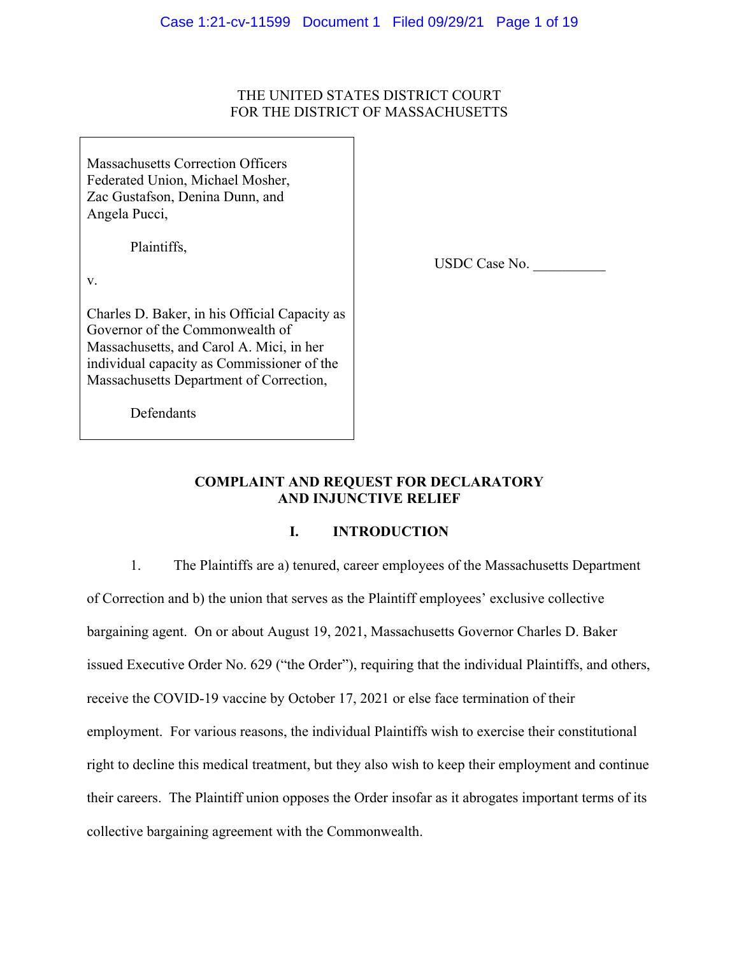# THE UNITED STATES DISTRICT COURT FOR THE DISTRICT OF MASSACHUSETTS

Massachusetts Correction Officers Federated Union, Michael Mosher, Zac Gustafson, Denina Dunn, and Angela Pucci,

Plaintiffs,

v.

Charles D. Baker, in his Official Capacity as Governor of the Commonwealth of Massachusetts, and Carol A. Mici, in her individual capacity as Commissioner of the Massachusetts Department of Correction,

USDC Case No. \_\_\_\_\_\_\_\_\_\_

Defendants

# **COMPLAINT AND REQUEST FOR DECLARATORY AND INJUNCTIVE RELIEF**

# **I. INTRODUCTION**

1. The Plaintiffs are a) tenured, career employees of the Massachusetts Department of Correction and b) the union that serves as the Plaintiff employees' exclusive collective bargaining agent. On or about August 19, 2021, Massachusetts Governor Charles D. Baker issued Executive Order No. 629 ("the Order"), requiring that the individual Plaintiffs, and others, receive the COVID-19 vaccine by October 17, 2021 or else face termination of their employment. For various reasons, the individual Plaintiffs wish to exercise their constitutional right to decline this medical treatment, but they also wish to keep their employment and continue their careers. The Plaintiff union opposes the Order insofar as it abrogates important terms of its collective bargaining agreement with the Commonwealth.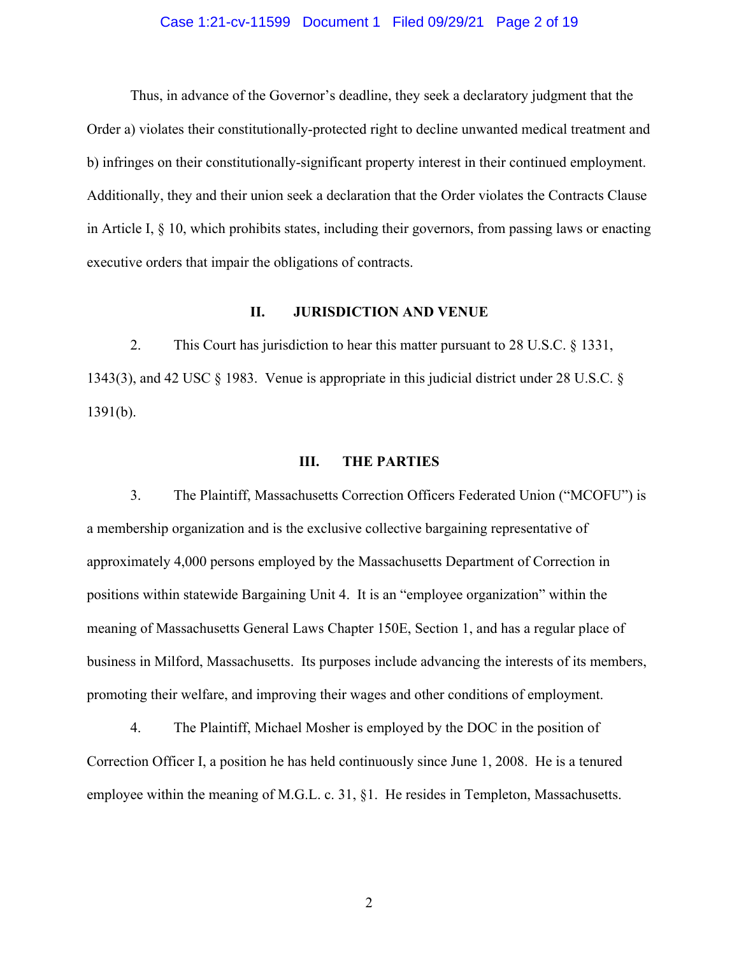#### Case 1:21-cv-11599 Document 1 Filed 09/29/21 Page 2 of 19

Thus, in advance of the Governor's deadline, they seek a declaratory judgment that the Order a) violates their constitutionally-protected right to decline unwanted medical treatment and b) infringes on their constitutionally-significant property interest in their continued employment. Additionally, they and their union seek a declaration that the Order violates the Contracts Clause in Article I,  $\S$  10, which prohibits states, including their governors, from passing laws or enacting executive orders that impair the obligations of contracts.

### **II. JURISDICTION AND VENUE**

2. This Court has jurisdiction to hear this matter pursuant to 28 U.S.C. § 1331, 1343(3), and 42 USC § 1983. Venue is appropriate in this judicial district under 28 U.S.C. § 1391(b).

#### **III. THE PARTIES**

3. The Plaintiff, Massachusetts Correction Officers Federated Union ("MCOFU") is a membership organization and is the exclusive collective bargaining representative of approximately 4,000 persons employed by the Massachusetts Department of Correction in positions within statewide Bargaining Unit 4. It is an "employee organization" within the meaning of Massachusetts General Laws Chapter 150E, Section 1, and has a regular place of business in Milford, Massachusetts. Its purposes include advancing the interests of its members, promoting their welfare, and improving their wages and other conditions of employment.

4. The Plaintiff, Michael Mosher is employed by the DOC in the position of Correction Officer I, a position he has held continuously since June 1, 2008. He is a tenured employee within the meaning of M.G.L. c. 31, §1. He resides in Templeton, Massachusetts.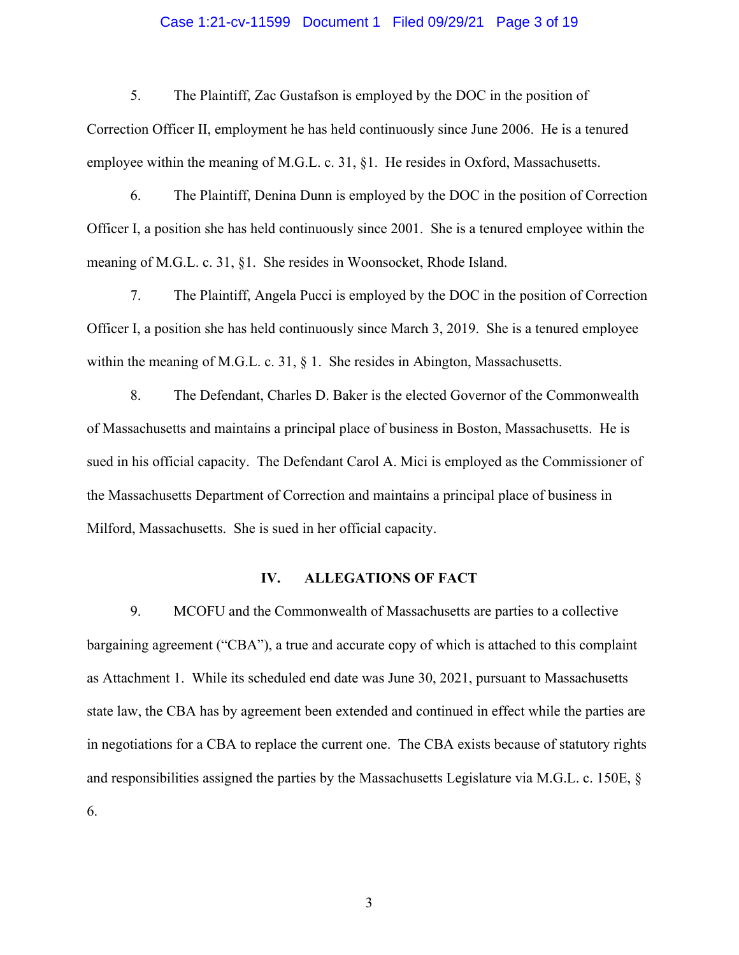#### Case 1:21-cv-11599 Document 1 Filed 09/29/21 Page 3 of 19

5. The Plaintiff, Zac Gustafson is employed by the DOC in the position of

Correction Officer II, employment he has held continuously since June 2006. He is a tenured employee within the meaning of M.G.L. c. 31, §1. He resides in Oxford, Massachusetts.

6. The Plaintiff, Denina Dunn is employed by the DOC in the position of Correction Officer I, a position she has held continuously since 2001. She is a tenured employee within the meaning of M.G.L. c. 31, §1. She resides in Woonsocket, Rhode Island.

7. The Plaintiff, Angela Pucci is employed by the DOC in the position of Correction Officer I, a position she has held continuously since March 3, 2019. She is a tenured employee within the meaning of M.G.L. c. 31, § 1. She resides in Abington, Massachusetts.

8. The Defendant, Charles D. Baker is the elected Governor of the Commonwealth of Massachusetts and maintains a principal place of business in Boston, Massachusetts. He is sued in his official capacity. The Defendant Carol A. Mici is employed as the Commissioner of the Massachusetts Department of Correction and maintains a principal place of business in Milford, Massachusetts. She is sued in her official capacity.

### **IV. ALLEGATIONS OF FACT**

9. MCOFU and the Commonwealth of Massachusetts are parties to a collective bargaining agreement ("CBA"), a true and accurate copy of which is attached to this complaint as Attachment 1. While its scheduled end date was June 30, 2021, pursuant to Massachusetts state law, the CBA has by agreement been extended and continued in effect while the parties are in negotiations for a CBA to replace the current one. The CBA exists because of statutory rights and responsibilities assigned the parties by the Massachusetts Legislature via M.G.L. c. 150E, § 6.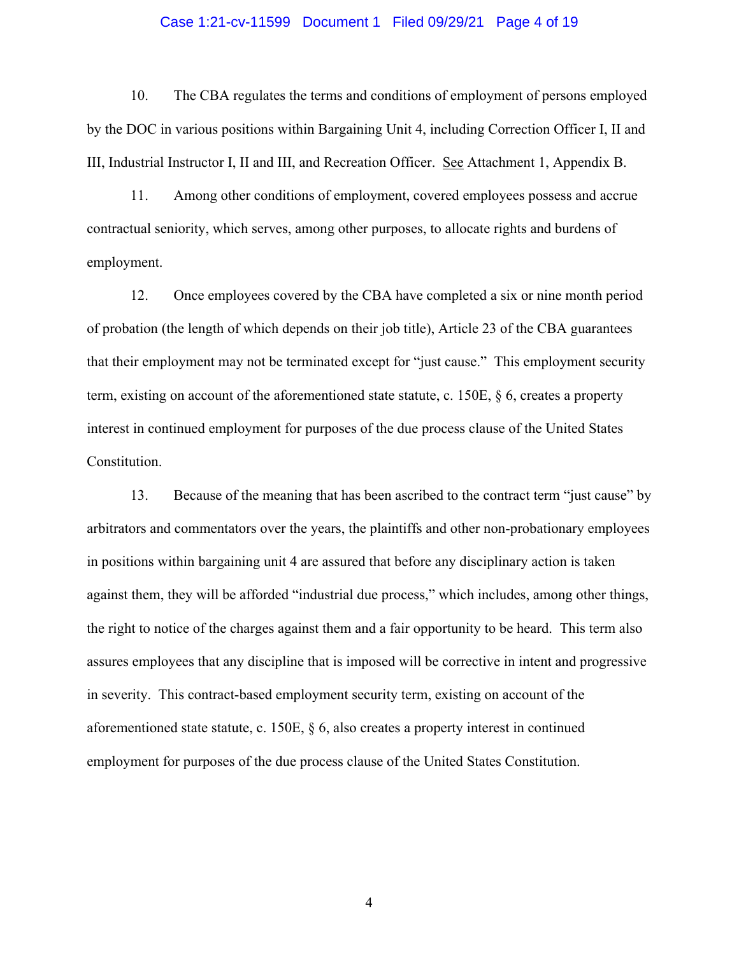#### Case 1:21-cv-11599 Document 1 Filed 09/29/21 Page 4 of 19

10. The CBA regulates the terms and conditions of employment of persons employed by the DOC in various positions within Bargaining Unit 4, including Correction Officer I, II and III, Industrial Instructor I, II and III, and Recreation Officer. See Attachment 1, Appendix B.

11. Among other conditions of employment, covered employees possess and accrue contractual seniority, which serves, among other purposes, to allocate rights and burdens of employment.

12. Once employees covered by the CBA have completed a six or nine month period of probation (the length of which depends on their job title), Article 23 of the CBA guarantees that their employment may not be terminated except for "just cause." This employment security term, existing on account of the aforementioned state statute, c. 150E, § 6, creates a property interest in continued employment for purposes of the due process clause of the United States Constitution.

13. Because of the meaning that has been ascribed to the contract term "just cause" by arbitrators and commentators over the years, the plaintiffs and other non-probationary employees in positions within bargaining unit 4 are assured that before any disciplinary action is taken against them, they will be afforded "industrial due process," which includes, among other things, the right to notice of the charges against them and a fair opportunity to be heard. This term also assures employees that any discipline that is imposed will be corrective in intent and progressive in severity. This contract-based employment security term, existing on account of the aforementioned state statute, c. 150E, § 6, also creates a property interest in continued employment for purposes of the due process clause of the United States Constitution.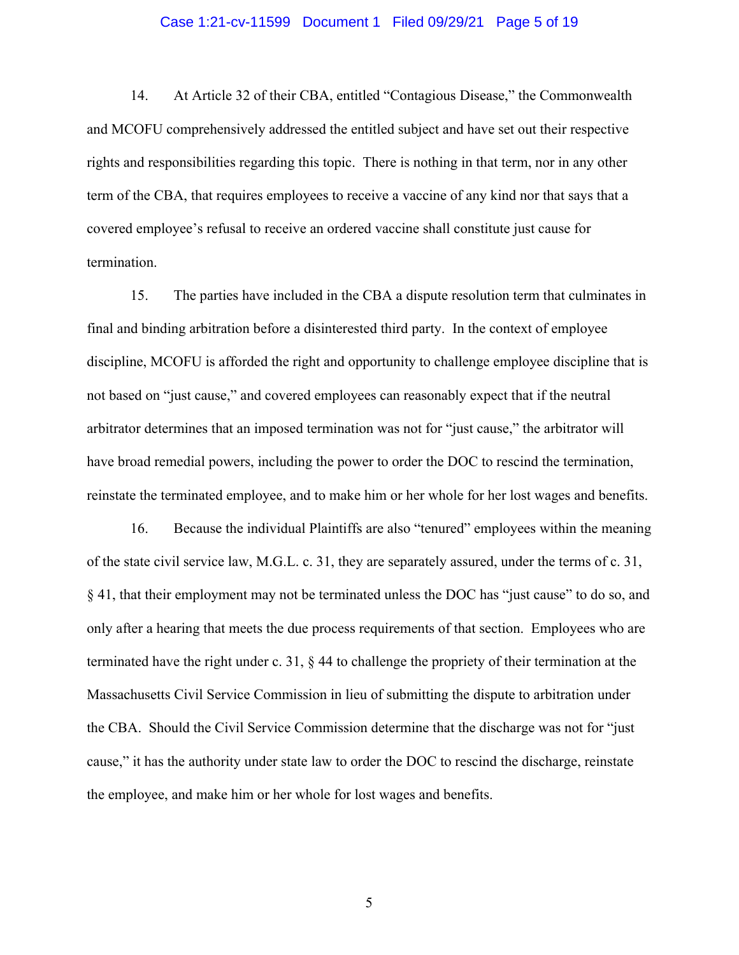#### Case 1:21-cv-11599 Document 1 Filed 09/29/21 Page 5 of 19

14. At Article 32 of their CBA, entitled "Contagious Disease," the Commonwealth and MCOFU comprehensively addressed the entitled subject and have set out their respective rights and responsibilities regarding this topic. There is nothing in that term, nor in any other term of the CBA, that requires employees to receive a vaccine of any kind nor that says that a covered employee's refusal to receive an ordered vaccine shall constitute just cause for termination.

15. The parties have included in the CBA a dispute resolution term that culminates in final and binding arbitration before a disinterested third party. In the context of employee discipline, MCOFU is afforded the right and opportunity to challenge employee discipline that is not based on "just cause," and covered employees can reasonably expect that if the neutral arbitrator determines that an imposed termination was not for "just cause," the arbitrator will have broad remedial powers, including the power to order the DOC to rescind the termination, reinstate the terminated employee, and to make him or her whole for her lost wages and benefits.

16. Because the individual Plaintiffs are also "tenured" employees within the meaning of the state civil service law, M.G.L. c. 31, they are separately assured, under the terms of c. 31, § 41, that their employment may not be terminated unless the DOC has "just cause" to do so, and only after a hearing that meets the due process requirements of that section. Employees who are terminated have the right under c. 31, § 44 to challenge the propriety of their termination at the Massachusetts Civil Service Commission in lieu of submitting the dispute to arbitration under the CBA. Should the Civil Service Commission determine that the discharge was not for "just cause," it has the authority under state law to order the DOC to rescind the discharge, reinstate the employee, and make him or her whole for lost wages and benefits.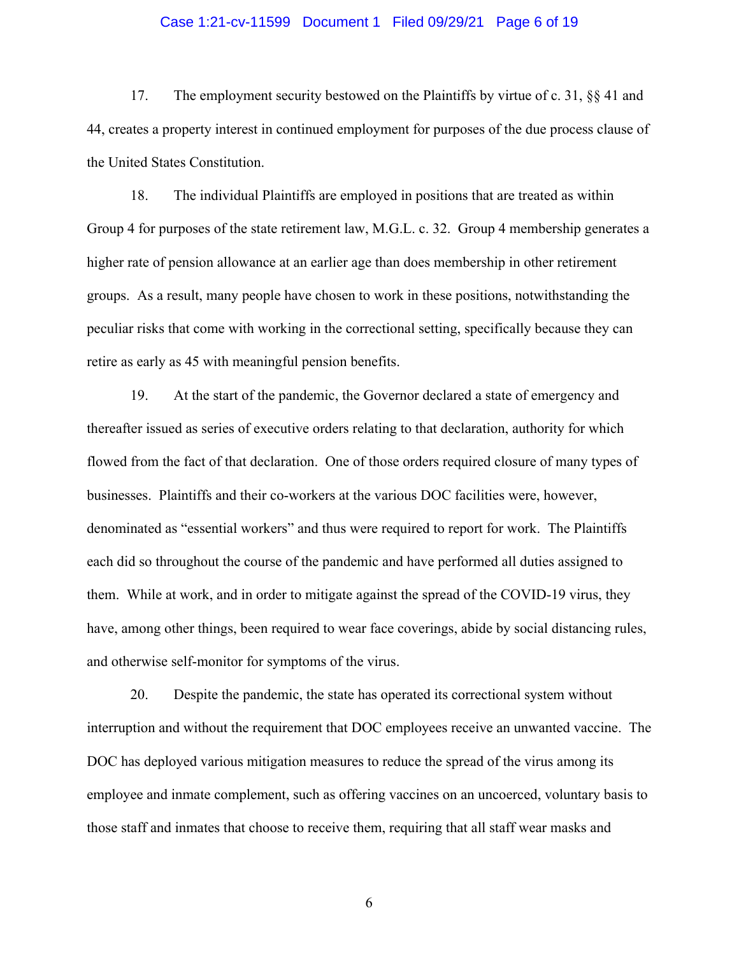#### Case 1:21-cv-11599 Document 1 Filed 09/29/21 Page 6 of 19

17. The employment security bestowed on the Plaintiffs by virtue of c. 31, §§ 41 and 44, creates a property interest in continued employment for purposes of the due process clause of the United States Constitution.

18. The individual Plaintiffs are employed in positions that are treated as within Group 4 for purposes of the state retirement law, M.G.L. c. 32. Group 4 membership generates a higher rate of pension allowance at an earlier age than does membership in other retirement groups. As a result, many people have chosen to work in these positions, notwithstanding the peculiar risks that come with working in the correctional setting, specifically because they can retire as early as 45 with meaningful pension benefits.

19. At the start of the pandemic, the Governor declared a state of emergency and thereafter issued as series of executive orders relating to that declaration, authority for which flowed from the fact of that declaration. One of those orders required closure of many types of businesses. Plaintiffs and their co-workers at the various DOC facilities were, however, denominated as "essential workers" and thus were required to report for work. The Plaintiffs each did so throughout the course of the pandemic and have performed all duties assigned to them. While at work, and in order to mitigate against the spread of the COVID-19 virus, they have, among other things, been required to wear face coverings, abide by social distancing rules, and otherwise self-monitor for symptoms of the virus.

20. Despite the pandemic, the state has operated its correctional system without interruption and without the requirement that DOC employees receive an unwanted vaccine. The DOC has deployed various mitigation measures to reduce the spread of the virus among its employee and inmate complement, such as offering vaccines on an uncoerced, voluntary basis to those staff and inmates that choose to receive them, requiring that all staff wear masks and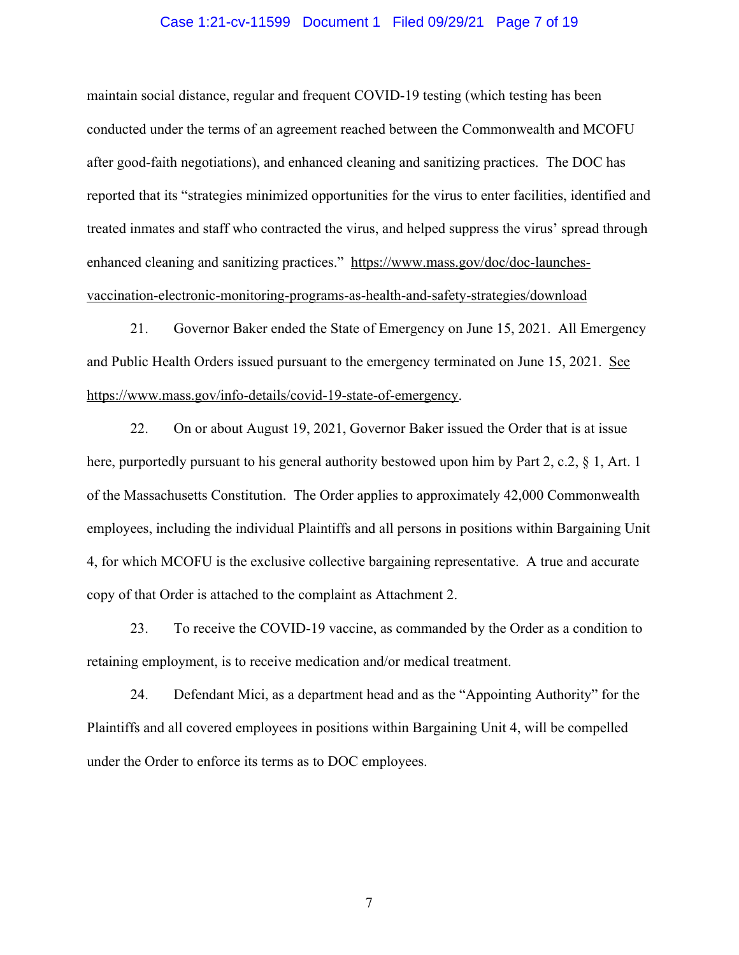#### Case 1:21-cv-11599 Document 1 Filed 09/29/21 Page 7 of 19

maintain social distance, regular and frequent COVID-19 testing (which testing has been conducted under the terms of an agreement reached between the Commonwealth and MCOFU after good-faith negotiations), and enhanced cleaning and sanitizing practices. The DOC has reported that its "strategies minimized opportunities for the virus to enter facilities, identified and treated inmates and staff who contracted the virus, and helped suppress the virus' spread through enhanced cleaning and sanitizing practices." https://www.mass.gov/doc/doc-launchesvaccination-electronic-monitoring-programs-as-health-and-safety-strategies/download

21. Governor Baker ended the State of Emergency on June 15, 2021. All Emergency and Public Health Orders issued pursuant to the emergency terminated on June 15, 2021. See https://www.mass.gov/info-details/covid-19-state-of-emergency.

22. On or about August 19, 2021, Governor Baker issued the Order that is at issue here, purportedly pursuant to his general authority bestowed upon him by Part 2, c.2, § 1, Art. 1 of the Massachusetts Constitution. The Order applies to approximately 42,000 Commonwealth employees, including the individual Plaintiffs and all persons in positions within Bargaining Unit 4, for which MCOFU is the exclusive collective bargaining representative. A true and accurate copy of that Order is attached to the complaint as Attachment 2.

23. To receive the COVID-19 vaccine, as commanded by the Order as a condition to retaining employment, is to receive medication and/or medical treatment.

24. Defendant Mici, as a department head and as the "Appointing Authority" for the Plaintiffs and all covered employees in positions within Bargaining Unit 4, will be compelled under the Order to enforce its terms as to DOC employees.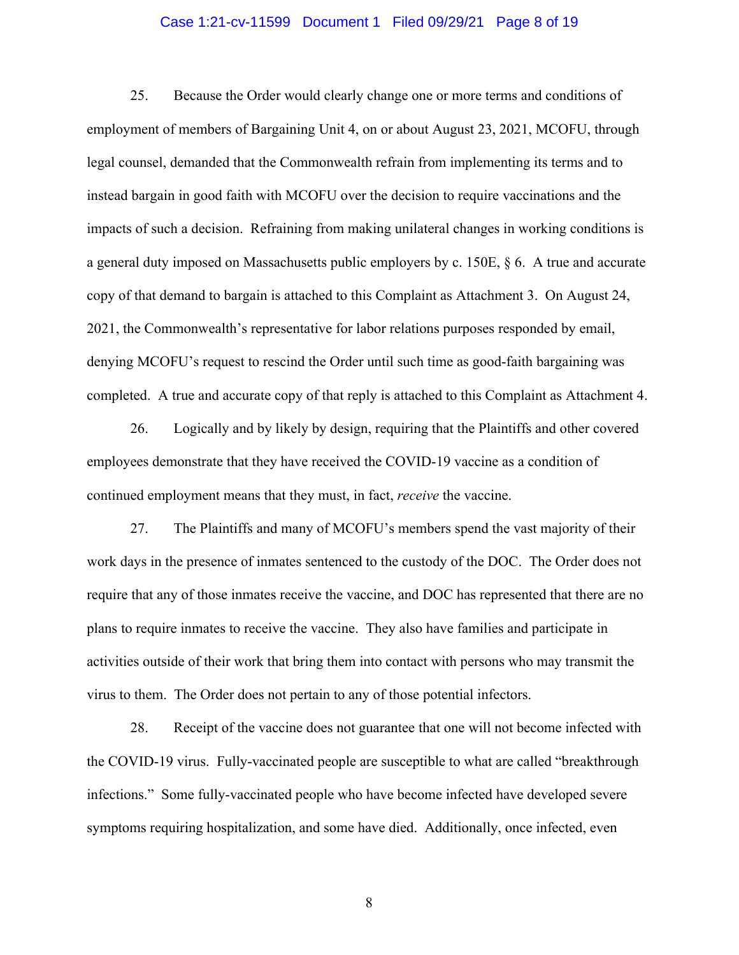#### Case 1:21-cv-11599 Document 1 Filed 09/29/21 Page 8 of 19

25. Because the Order would clearly change one or more terms and conditions of employment of members of Bargaining Unit 4, on or about August 23, 2021, MCOFU, through legal counsel, demanded that the Commonwealth refrain from implementing its terms and to instead bargain in good faith with MCOFU over the decision to require vaccinations and the impacts of such a decision. Refraining from making unilateral changes in working conditions is a general duty imposed on Massachusetts public employers by c. 150E, § 6. A true and accurate copy of that demand to bargain is attached to this Complaint as Attachment 3. On August 24, 2021, the Commonwealth's representative for labor relations purposes responded by email, denying MCOFU's request to rescind the Order until such time as good-faith bargaining was completed. A true and accurate copy of that reply is attached to this Complaint as Attachment 4.

26. Logically and by likely by design, requiring that the Plaintiffs and other covered employees demonstrate that they have received the COVID-19 vaccine as a condition of continued employment means that they must, in fact, *receive* the vaccine.

27. The Plaintiffs and many of MCOFU's members spend the vast majority of their work days in the presence of inmates sentenced to the custody of the DOC. The Order does not require that any of those inmates receive the vaccine, and DOC has represented that there are no plans to require inmates to receive the vaccine. They also have families and participate in activities outside of their work that bring them into contact with persons who may transmit the virus to them. The Order does not pertain to any of those potential infectors.

28. Receipt of the vaccine does not guarantee that one will not become infected with the COVID-19 virus. Fully-vaccinated people are susceptible to what are called "breakthrough infections." Some fully-vaccinated people who have become infected have developed severe symptoms requiring hospitalization, and some have died. Additionally, once infected, even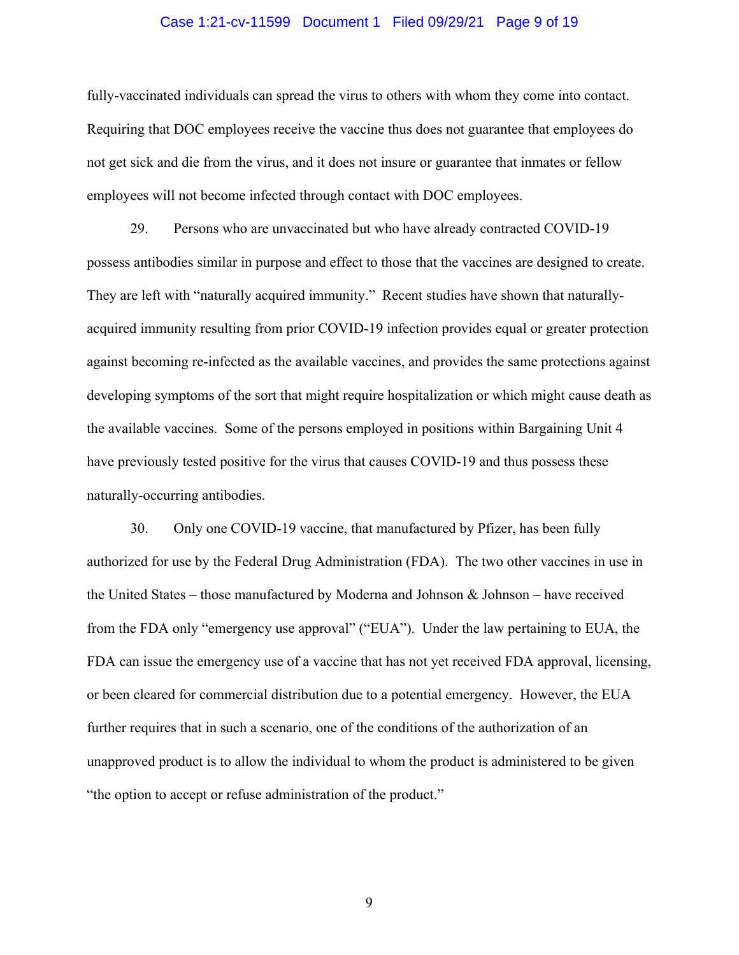#### Case 1:21-cv-11599 Document 1 Filed 09/29/21 Page 9 of 19

fully-vaccinated individuals can spread the virus to others with whom they come into contact. Requiring that DOC employees receive the vaccine thus does not guarantee that employees do not get sick and die from the virus, and it does not insure or guarantee that inmates or fellow employees will not become infected through contact with DOC employees.

29. Persons who are unvaccinated but who have already contracted COVID-19 possess antibodies similar in purpose and effect to those that the vaccines are designed to create. They are left with "naturally acquired immunity." Recent studies have shown that naturallyacquired immunity resulting from prior COVID-19 infection provides equal or greater protection against becoming re-infected as the available vaccines, and provides the same protections against developing symptoms of the sort that might require hospitalization or which might cause death as the available vaccines. Some of the persons employed in positions within Bargaining Unit 4 have previously tested positive for the virus that causes COVID-19 and thus possess these naturally-occurring antibodies.

30. Only one COVID-19 vaccine, that manufactured by Pfizer, has been fully authorized for use by the Federal Drug Administration (FDA). The two other vaccines in use in the United States – those manufactured by Moderna and Johnson  $\&$  Johnson – have received from the FDA only "emergency use approval" ("EUA"). Under the law pertaining to EUA, the FDA can issue the emergency use of a vaccine that has not yet received FDA approval, licensing, or been cleared for commercial distribution due to a potential emergency. However, the EUA further requires that in such a scenario, one of the conditions of the authorization of an unapproved product is to allow the individual to whom the product is administered to be given "the option to accept or refuse administration of the product."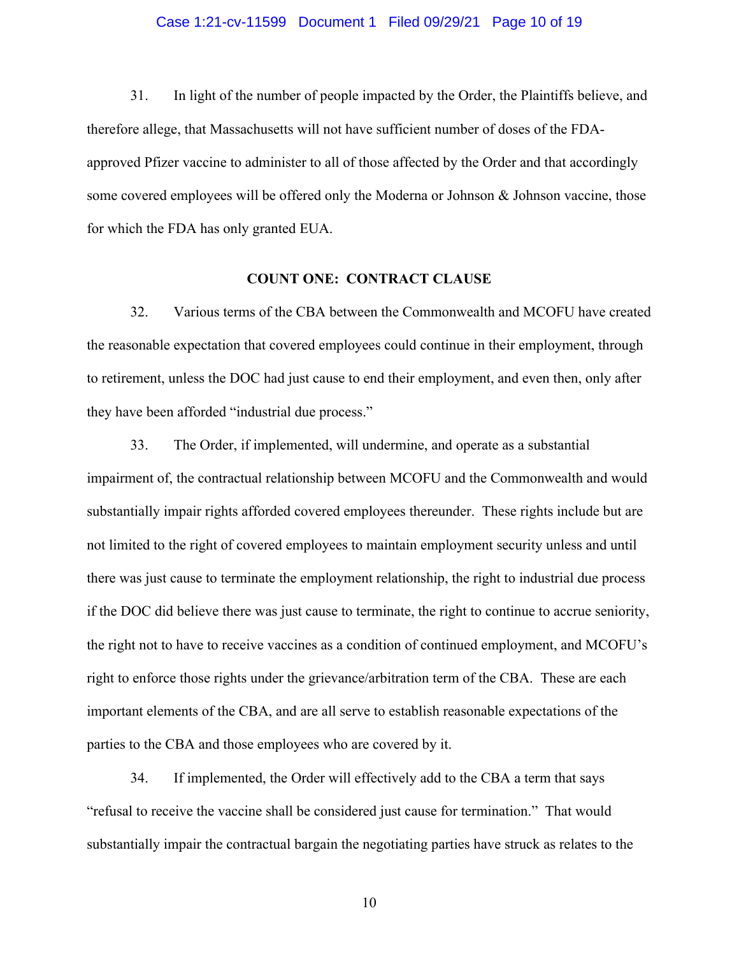#### Case 1:21-cv-11599 Document 1 Filed 09/29/21 Page 10 of 19

31. In light of the number of people impacted by the Order, the Plaintiffs believe, and therefore allege, that Massachusetts will not have sufficient number of doses of the FDAapproved Pfizer vaccine to administer to all of those affected by the Order and that accordingly some covered employees will be offered only the Moderna or Johnson & Johnson vaccine, those for which the FDA has only granted EUA.

#### **COUNT ONE: CONTRACT CLAUSE**

32. Various terms of the CBA between the Commonwealth and MCOFU have created the reasonable expectation that covered employees could continue in their employment, through to retirement, unless the DOC had just cause to end their employment, and even then, only after they have been afforded "industrial due process."

33. The Order, if implemented, will undermine, and operate as a substantial impairment of, the contractual relationship between MCOFU and the Commonwealth and would substantially impair rights afforded covered employees thereunder. These rights include but are not limited to the right of covered employees to maintain employment security unless and until there was just cause to terminate the employment relationship, the right to industrial due process if the DOC did believe there was just cause to terminate, the right to continue to accrue seniority, the right not to have to receive vaccines as a condition of continued employment, and MCOFU's right to enforce those rights under the grievance/arbitration term of the CBA. These are each important elements of the CBA, and are all serve to establish reasonable expectations of the parties to the CBA and those employees who are covered by it.

34. If implemented, the Order will effectively add to the CBA a term that says "refusal to receive the vaccine shall be considered just cause for termination." That would substantially impair the contractual bargain the negotiating parties have struck as relates to the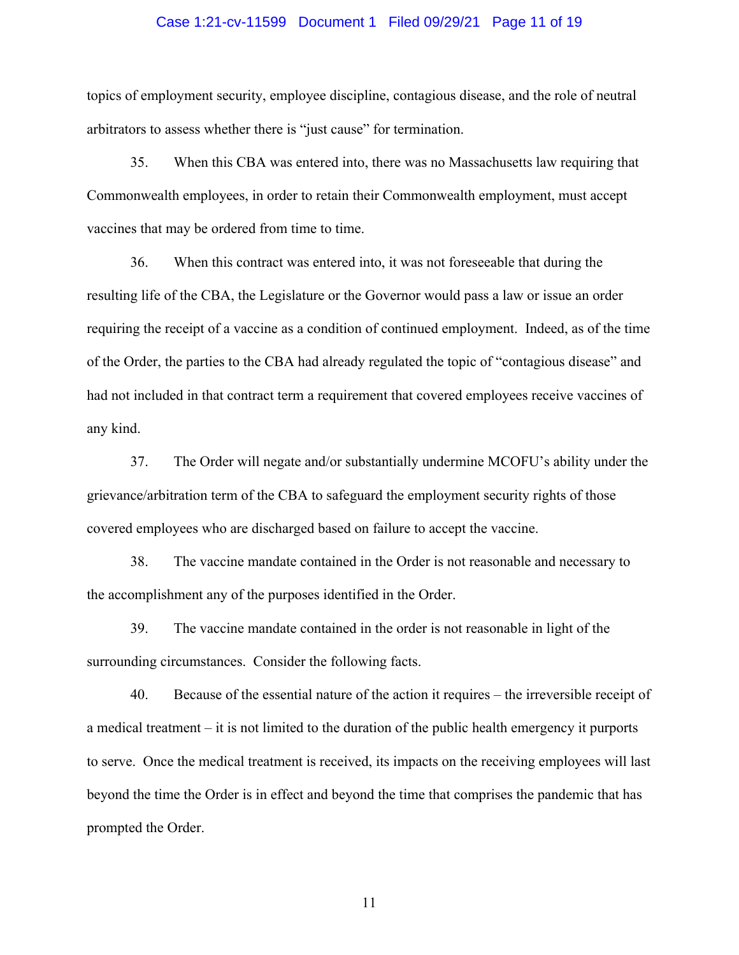#### Case 1:21-cv-11599 Document 1 Filed 09/29/21 Page 11 of 19

topics of employment security, employee discipline, contagious disease, and the role of neutral arbitrators to assess whether there is "just cause" for termination.

35. When this CBA was entered into, there was no Massachusetts law requiring that Commonwealth employees, in order to retain their Commonwealth employment, must accept vaccines that may be ordered from time to time.

36. When this contract was entered into, it was not foreseeable that during the resulting life of the CBA, the Legislature or the Governor would pass a law or issue an order requiring the receipt of a vaccine as a condition of continued employment. Indeed, as of the time of the Order, the parties to the CBA had already regulated the topic of "contagious disease" and had not included in that contract term a requirement that covered employees receive vaccines of any kind.

37. The Order will negate and/or substantially undermine MCOFU's ability under the grievance/arbitration term of the CBA to safeguard the employment security rights of those covered employees who are discharged based on failure to accept the vaccine.

38. The vaccine mandate contained in the Order is not reasonable and necessary to the accomplishment any of the purposes identified in the Order.

39. The vaccine mandate contained in the order is not reasonable in light of the surrounding circumstances. Consider the following facts.

40. Because of the essential nature of the action it requires – the irreversible receipt of a medical treatment – it is not limited to the duration of the public health emergency it purports to serve. Once the medical treatment is received, its impacts on the receiving employees will last beyond the time the Order is in effect and beyond the time that comprises the pandemic that has prompted the Order.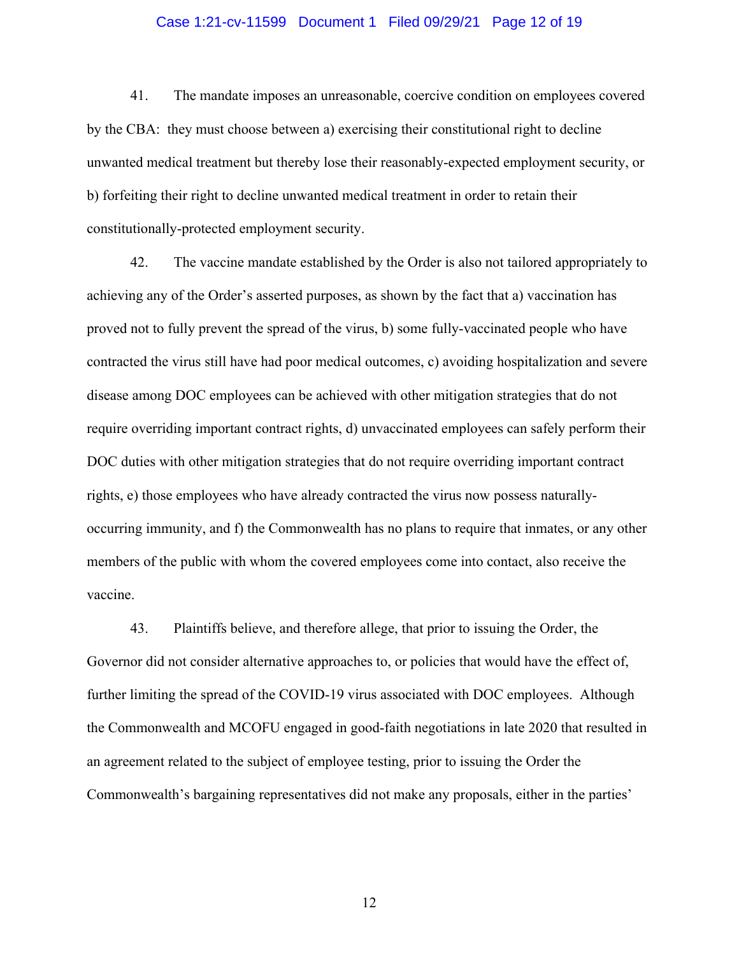#### Case 1:21-cv-11599 Document 1 Filed 09/29/21 Page 12 of 19

41. The mandate imposes an unreasonable, coercive condition on employees covered by the CBA: they must choose between a) exercising their constitutional right to decline unwanted medical treatment but thereby lose their reasonably-expected employment security, or b) forfeiting their right to decline unwanted medical treatment in order to retain their constitutionally-protected employment security.

42. The vaccine mandate established by the Order is also not tailored appropriately to achieving any of the Order's asserted purposes, as shown by the fact that a) vaccination has proved not to fully prevent the spread of the virus, b) some fully-vaccinated people who have contracted the virus still have had poor medical outcomes, c) avoiding hospitalization and severe disease among DOC employees can be achieved with other mitigation strategies that do not require overriding important contract rights, d) unvaccinated employees can safely perform their DOC duties with other mitigation strategies that do not require overriding important contract rights, e) those employees who have already contracted the virus now possess naturallyoccurring immunity, and f) the Commonwealth has no plans to require that inmates, or any other members of the public with whom the covered employees come into contact, also receive the vaccine.

43. Plaintiffs believe, and therefore allege, that prior to issuing the Order, the Governor did not consider alternative approaches to, or policies that would have the effect of, further limiting the spread of the COVID-19 virus associated with DOC employees. Although the Commonwealth and MCOFU engaged in good-faith negotiations in late 2020 that resulted in an agreement related to the subject of employee testing, prior to issuing the Order the Commonwealth's bargaining representatives did not make any proposals, either in the parties'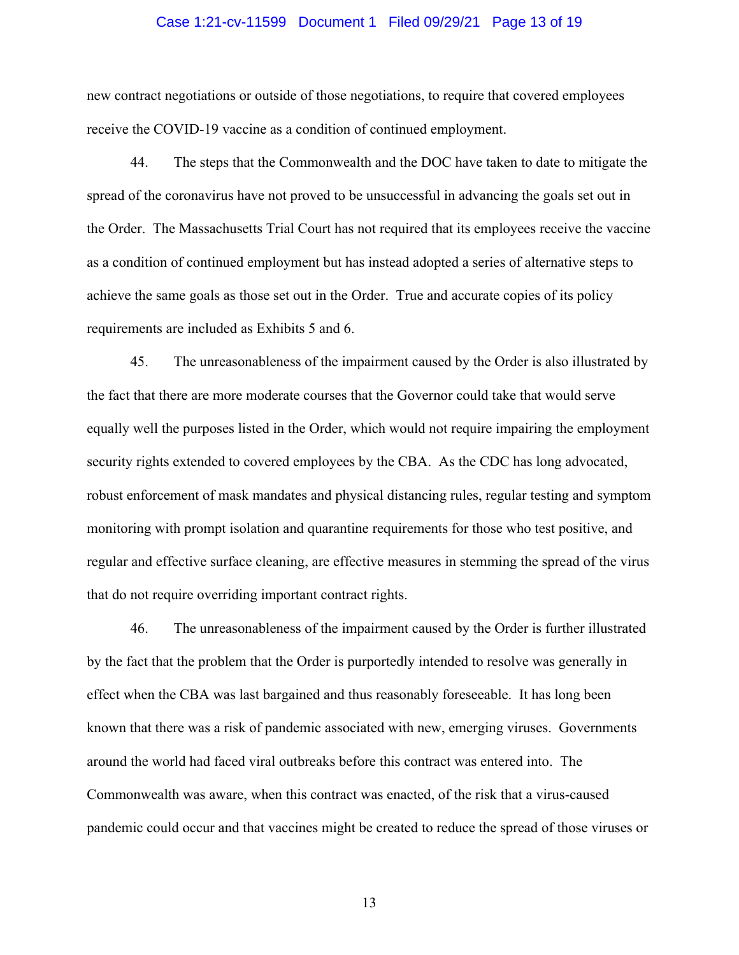#### Case 1:21-cv-11599 Document 1 Filed 09/29/21 Page 13 of 19

new contract negotiations or outside of those negotiations, to require that covered employees receive the COVID-19 vaccine as a condition of continued employment.

44. The steps that the Commonwealth and the DOC have taken to date to mitigate the spread of the coronavirus have not proved to be unsuccessful in advancing the goals set out in the Order. The Massachusetts Trial Court has not required that its employees receive the vaccine as a condition of continued employment but has instead adopted a series of alternative steps to achieve the same goals as those set out in the Order. True and accurate copies of its policy requirements are included as Exhibits 5 and 6.

45. The unreasonableness of the impairment caused by the Order is also illustrated by the fact that there are more moderate courses that the Governor could take that would serve equally well the purposes listed in the Order, which would not require impairing the employment security rights extended to covered employees by the CBA. As the CDC has long advocated, robust enforcement of mask mandates and physical distancing rules, regular testing and symptom monitoring with prompt isolation and quarantine requirements for those who test positive, and regular and effective surface cleaning, are effective measures in stemming the spread of the virus that do not require overriding important contract rights.

46. The unreasonableness of the impairment caused by the Order is further illustrated by the fact that the problem that the Order is purportedly intended to resolve was generally in effect when the CBA was last bargained and thus reasonably foreseeable. It has long been known that there was a risk of pandemic associated with new, emerging viruses. Governments around the world had faced viral outbreaks before this contract was entered into. The Commonwealth was aware, when this contract was enacted, of the risk that a virus-caused pandemic could occur and that vaccines might be created to reduce the spread of those viruses or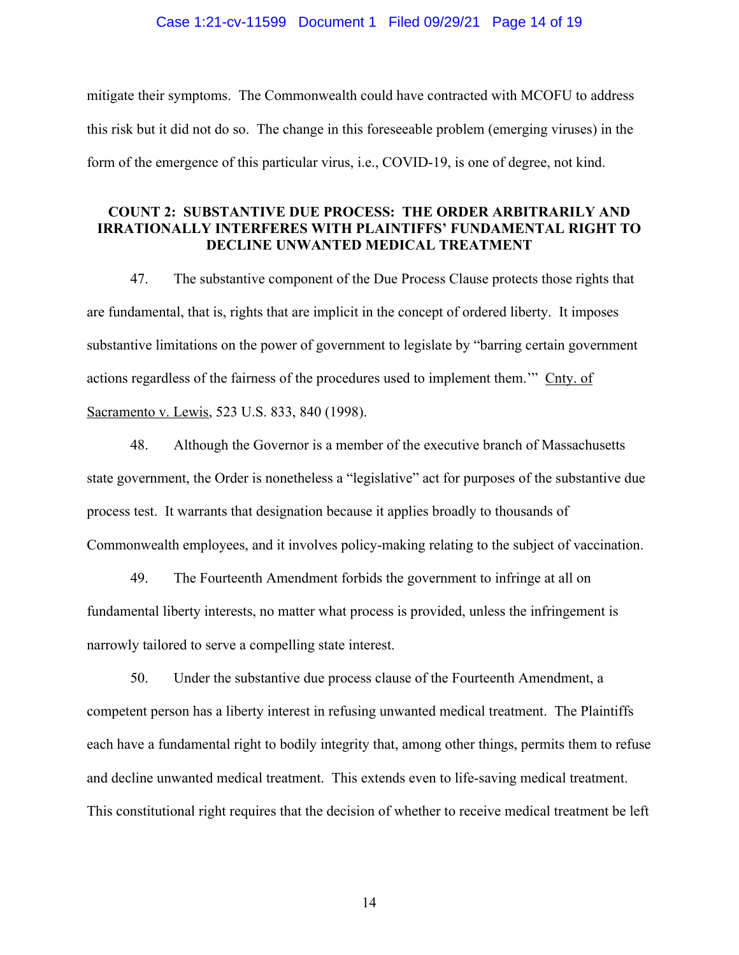mitigate their symptoms. The Commonwealth could have contracted with MCOFU to address this risk but it did not do so. The change in this foreseeable problem (emerging viruses) in the form of the emergence of this particular virus, i.e., COVID-19, is one of degree, not kind.

### **COUNT 2: SUBSTANTIVE DUE PROCESS: THE ORDER ARBITRARILY AND IRRATIONALLY INTERFERES WITH PLAINTIFFS' FUNDAMENTAL RIGHT TO DECLINE UNWANTED MEDICAL TREATMENT**

47. The substantive component of the Due Process Clause protects those rights that are fundamental, that is, rights that are implicit in the concept of ordered liberty. It imposes substantive limitations on the power of government to legislate by "barring certain government actions regardless of the fairness of the procedures used to implement them.'" Cnty. of Sacramento v. Lewis, 523 U.S. 833, 840 (1998).

48. Although the Governor is a member of the executive branch of Massachusetts state government, the Order is nonetheless a "legislative" act for purposes of the substantive due process test. It warrants that designation because it applies broadly to thousands of Commonwealth employees, and it involves policy-making relating to the subject of vaccination.

49. The Fourteenth Amendment forbids the government to infringe at all on fundamental liberty interests, no matter what process is provided, unless the infringement is narrowly tailored to serve a compelling state interest.

50. Under the substantive due process clause of the Fourteenth Amendment, a competent person has a liberty interest in refusing unwanted medical treatment. The Plaintiffs each have a fundamental right to bodily integrity that, among other things, permits them to refuse and decline unwanted medical treatment. This extends even to life-saving medical treatment. This constitutional right requires that the decision of whether to receive medical treatment be left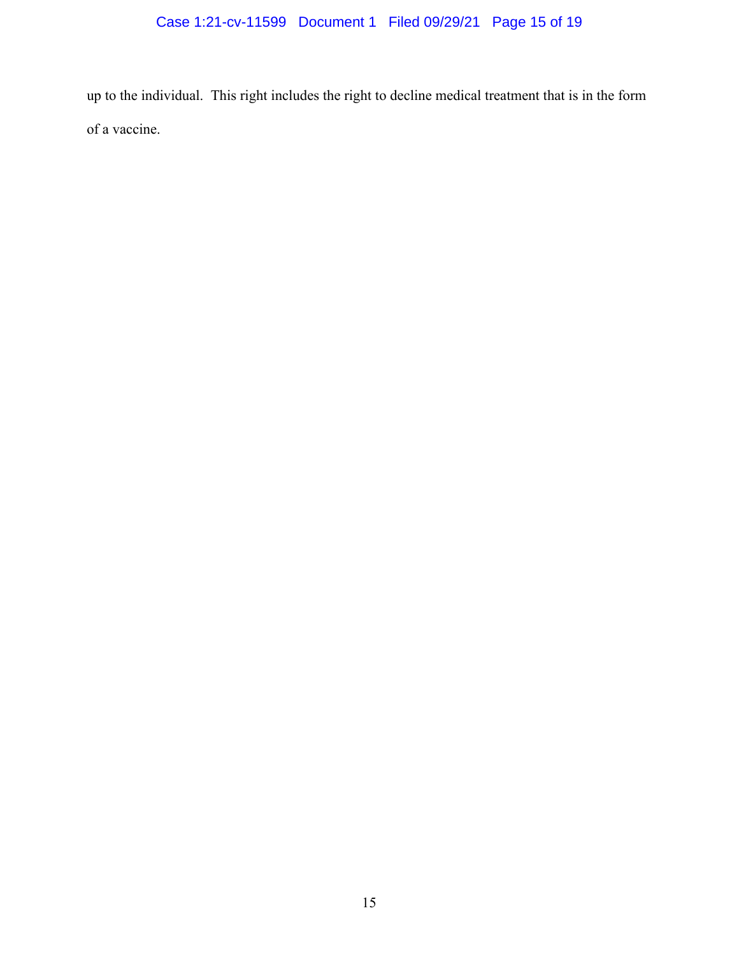up to the individual. This right includes the right to decline medical treatment that is in the form of a vaccine.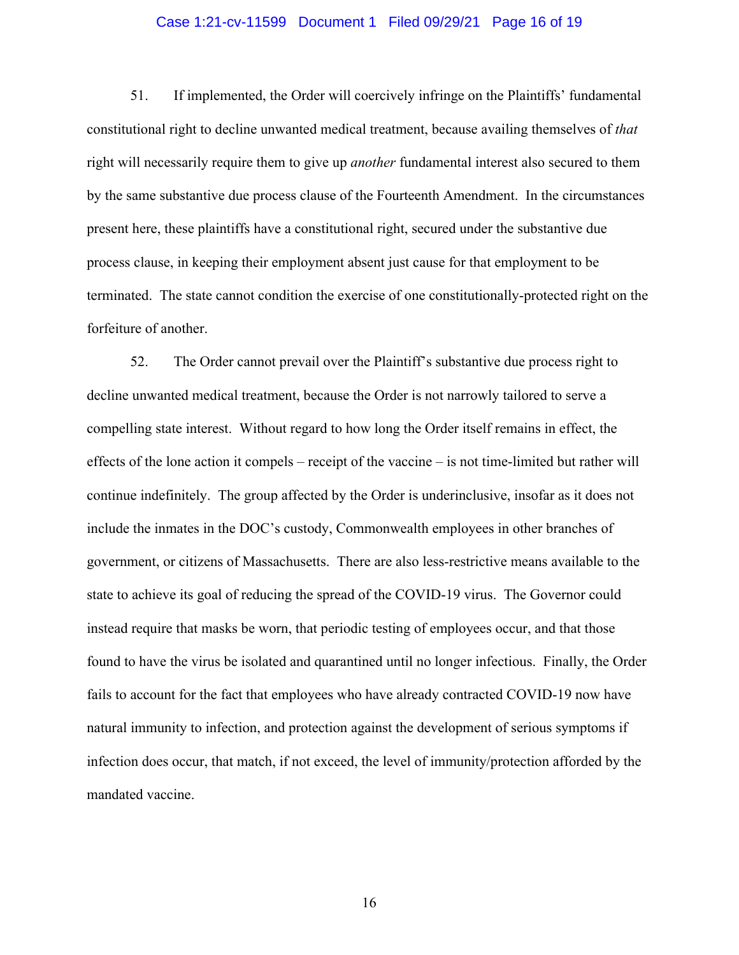#### Case 1:21-cv-11599 Document 1 Filed 09/29/21 Page 16 of 19

51. If implemented, the Order will coercively infringe on the Plaintiffs' fundamental constitutional right to decline unwanted medical treatment, because availing themselves of *that*  right will necessarily require them to give up *another* fundamental interest also secured to them by the same substantive due process clause of the Fourteenth Amendment. In the circumstances present here, these plaintiffs have a constitutional right, secured under the substantive due process clause, in keeping their employment absent just cause for that employment to be terminated. The state cannot condition the exercise of one constitutionally-protected right on the forfeiture of another.

52. The Order cannot prevail over the Plaintiff's substantive due process right to decline unwanted medical treatment, because the Order is not narrowly tailored to serve a compelling state interest. Without regard to how long the Order itself remains in effect, the effects of the lone action it compels – receipt of the vaccine – is not time-limited but rather will continue indefinitely. The group affected by the Order is underinclusive, insofar as it does not include the inmates in the DOC's custody, Commonwealth employees in other branches of government, or citizens of Massachusetts. There are also less-restrictive means available to the state to achieve its goal of reducing the spread of the COVID-19 virus. The Governor could instead require that masks be worn, that periodic testing of employees occur, and that those found to have the virus be isolated and quarantined until no longer infectious. Finally, the Order fails to account for the fact that employees who have already contracted COVID-19 now have natural immunity to infection, and protection against the development of serious symptoms if infection does occur, that match, if not exceed, the level of immunity/protection afforded by the mandated vaccine.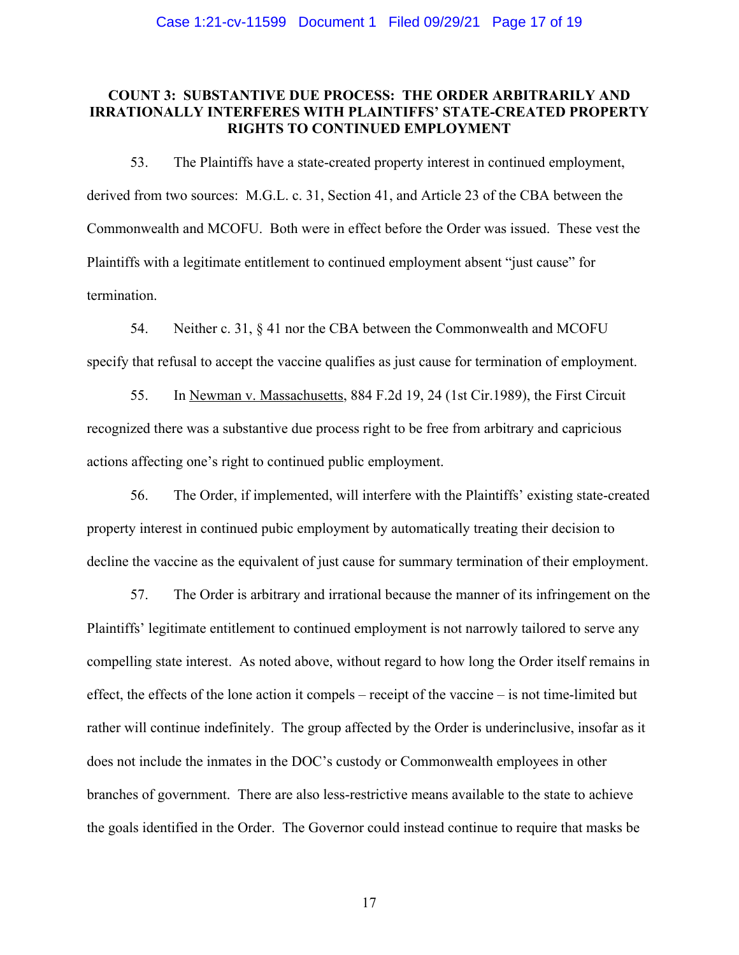# **COUNT 3: SUBSTANTIVE DUE PROCESS: THE ORDER ARBITRARILY AND IRRATIONALLY INTERFERES WITH PLAINTIFFS' STATE-CREATED PROPERTY RIGHTS TO CONTINUED EMPLOYMENT**

53. The Plaintiffs have a state-created property interest in continued employment, derived from two sources: M.G.L. c. 31, Section 41, and Article 23 of the CBA between the Commonwealth and MCOFU. Both were in effect before the Order was issued. These vest the Plaintiffs with a legitimate entitlement to continued employment absent "just cause" for termination.

54. Neither c. 31, § 41 nor the CBA between the Commonwealth and MCOFU specify that refusal to accept the vaccine qualifies as just cause for termination of employment.

55. In Newman v. Massachusetts, 884 F.2d 19, 24 (1st Cir.1989), the First Circuit recognized there was a substantive due process right to be free from arbitrary and capricious actions affecting one's right to continued public employment.

56. The Order, if implemented, will interfere with the Plaintiffs' existing state-created property interest in continued pubic employment by automatically treating their decision to decline the vaccine as the equivalent of just cause for summary termination of their employment.

57. The Order is arbitrary and irrational because the manner of its infringement on the Plaintiffs' legitimate entitlement to continued employment is not narrowly tailored to serve any compelling state interest. As noted above, without regard to how long the Order itself remains in effect, the effects of the lone action it compels – receipt of the vaccine – is not time-limited but rather will continue indefinitely. The group affected by the Order is underinclusive, insofar as it does not include the inmates in the DOC's custody or Commonwealth employees in other branches of government. There are also less-restrictive means available to the state to achieve the goals identified in the Order. The Governor could instead continue to require that masks be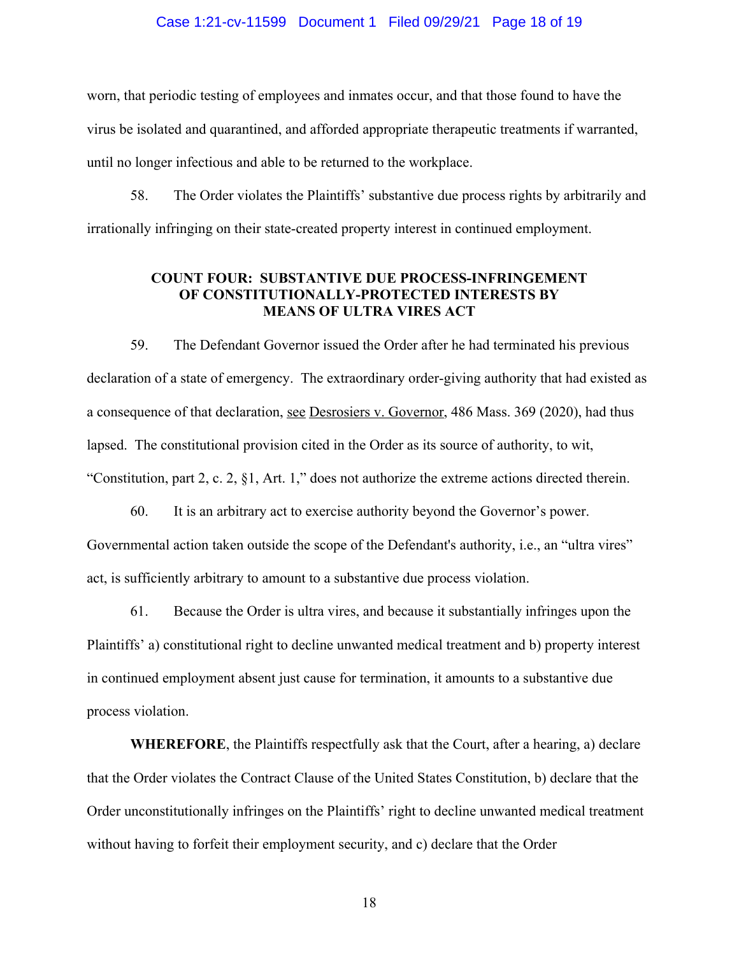#### Case 1:21-cv-11599 Document 1 Filed 09/29/21 Page 18 of 19

worn, that periodic testing of employees and inmates occur, and that those found to have the virus be isolated and quarantined, and afforded appropriate therapeutic treatments if warranted, until no longer infectious and able to be returned to the workplace.

58. The Order violates the Plaintiffs' substantive due process rights by arbitrarily and irrationally infringing on their state-created property interest in continued employment.

## **COUNT FOUR: SUBSTANTIVE DUE PROCESS-INFRINGEMENT OF CONSTITUTIONALLY-PROTECTED INTERESTS BY MEANS OF ULTRA VIRES ACT**

59. The Defendant Governor issued the Order after he had terminated his previous declaration of a state of emergency. The extraordinary order-giving authority that had existed as a consequence of that declaration, see Desrosiers v. Governor, 486 Mass. 369 (2020), had thus lapsed. The constitutional provision cited in the Order as its source of authority, to wit, "Constitution, part 2, c. 2, §1, Art. 1," does not authorize the extreme actions directed therein.

60. It is an arbitrary act to exercise authority beyond the Governor's power. Governmental action taken outside the scope of the Defendant's authority, i.e., an "ultra vires" act, is sufficiently arbitrary to amount to a substantive due process violation.

61. Because the Order is ultra vires, and because it substantially infringes upon the Plaintiffs' a) constitutional right to decline unwanted medical treatment and b) property interest in continued employment absent just cause for termination, it amounts to a substantive due process violation.

**WHEREFORE**, the Plaintiffs respectfully ask that the Court, after a hearing, a) declare that the Order violates the Contract Clause of the United States Constitution, b) declare that the Order unconstitutionally infringes on the Plaintiffs' right to decline unwanted medical treatment without having to forfeit their employment security, and c) declare that the Order